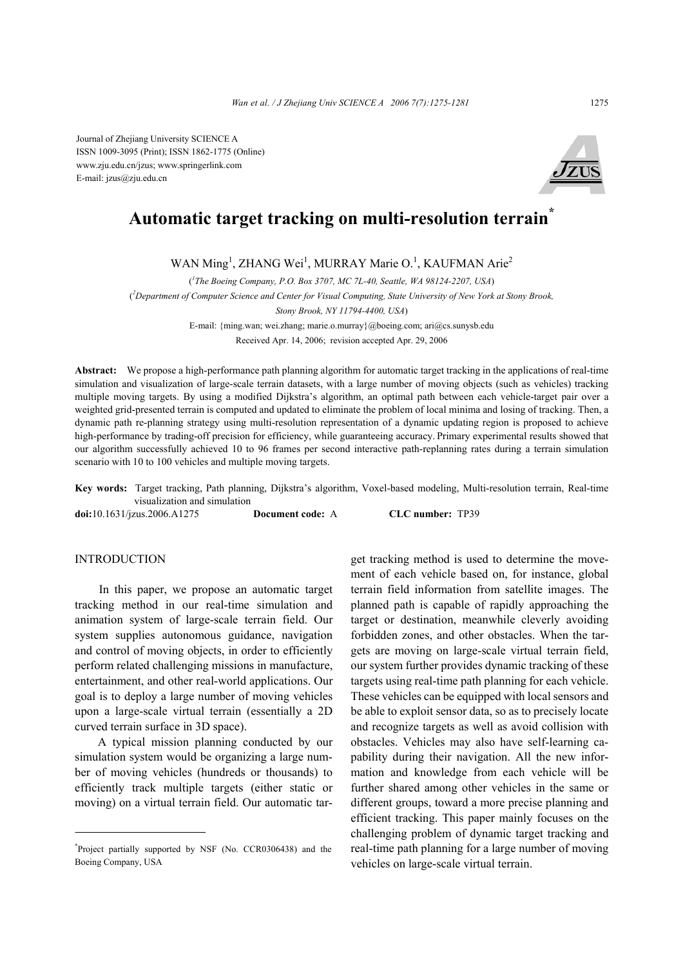Journal of Zhejiang University SCIENCE A ISSN 1009-3095 (Print); ISSN 1862-1775 (Online) www.zju.edu.cn/jzus; www.springerlink.com E-mail: jzus@zju.edu.cn



# **Automatic target tracking on multi-resolution terrain\***

# WAN Ming<sup>1</sup>, ZHANG Wei<sup>1</sup>, MURRAY Marie O.<sup>1</sup>, KAUFMAN Arie<sup>2</sup>

( *1 The Boeing Company, P.O. Box 3707, MC 7L-40, Seattle, WA 98124-2207, USA*) ( *2 Department of Computer Science and Center for Visual Computing, State University of New York at Stony Brook, Stony Brook, NY 11794-4400, USA*)

E-mail: {ming.wan; wei.zhang; marie.o.murray}@boeing.com; ari@cs.sunysb.edu Received Apr. 14, 2006; revision accepted Apr. 29, 2006

**Abstract:** We propose a high-performance path planning algorithm for automatic target tracking in the applications of real-time simulation and visualization of large-scale terrain datasets, with a large number of moving objects (such as vehicles) tracking multiple moving targets. By using a modified Dijkstra's algorithm, an optimal path between each vehicle-target pair over a weighted grid-presented terrain is computed and updated to eliminate the problem of local minima and losing of tracking. Then, a dynamic path re-planning strategy using multi-resolution representation of a dynamic updating region is proposed to achieve high-performance by trading-off precision for efficiency, while guaranteeing accuracy. Primary experimental results showed that our algorithm successfully achieved 10 to 96 frames per second interactive path-replanning rates during a terrain simulation scenario with 10 to 100 vehicles and multiple moving targets.

**Key words:** Target tracking, Path planning, Dijkstra's algorithm, Voxel-based modeling, Multi-resolution terrain, Real-time visualization and simulation

**doi:**10.1631/jzus.2006.A1275 **Document code:** A **CLC number:** TP39

## INTRODUCTION

In this paper, we propose an automatic target tracking method in our real-time simulation and animation system of large-scale terrain field. Our system supplies autonomous guidance, navigation and control of moving objects, in order to efficiently perform related challenging missions in manufacture, entertainment, and other real-world applications. Our goal is to deploy a large number of moving vehicles upon a large-scale virtual terrain (essentially a 2D curved terrain surface in 3D space).

A typical mission planning conducted by our simulation system would be organizing a large number of moving vehicles (hundreds or thousands) to efficiently track multiple targets (either static or moving) on a virtual terrain field. Our automatic target tracking method is used to determine the movement of each vehicle based on, for instance, global terrain field information from satellite images. The planned path is capable of rapidly approaching the target or destination, meanwhile cleverly avoiding forbidden zones, and other obstacles. When the targets are moving on large-scale virtual terrain field, our system further provides dynamic tracking of these targets using real-time path planning for each vehicle. These vehicles can be equipped with local sensors and be able to exploit sensor data, so as to precisely locate and recognize targets as well as avoid collision with obstacles. Vehicles may also have self-learning capability during their navigation. All the new information and knowledge from each vehicle will be further shared among other vehicles in the same or different groups, toward a more precise planning and efficient tracking. This paper mainly focuses on the challenging problem of dynamic target tracking and real-time path planning for a large number of moving vehicles on large-scale virtual terrain.

<sup>\*</sup> Project partially supported by NSF (No. CCR0306438) and the Boeing Company, USA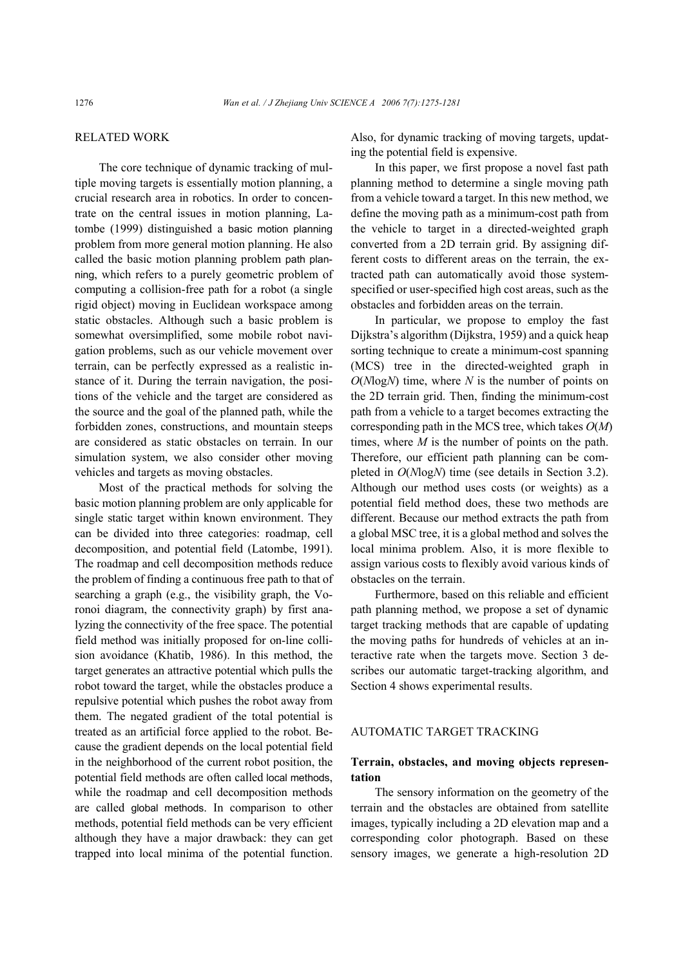## RELATED WORK

The core technique of dynamic tracking of multiple moving targets is essentially motion planning, a crucial research area in robotics. In order to concentrate on the central issues in motion planning, Latombe (1999) distinguished a basic motion planning problem from more general motion planning. He also called the basic motion planning problem path planning, which refers to a purely geometric problem of computing a collision-free path for a robot (a single rigid object) moving in Euclidean workspace among static obstacles. Although such a basic problem is somewhat oversimplified, some mobile robot navigation problems, such as our vehicle movement over terrain, can be perfectly expressed as a realistic instance of it. During the terrain navigation, the positions of the vehicle and the target are considered as the source and the goal of the planned path, while the forbidden zones, constructions, and mountain steeps are considered as static obstacles on terrain. In our simulation system, we also consider other moving vehicles and targets as moving obstacles.

Most of the practical methods for solving the basic motion planning problem are only applicable for single static target within known environment. They can be divided into three categories: roadmap, cell decomposition, and potential field (Latombe, 1991). The roadmap and cell decomposition methods reduce the problem of finding a continuous free path to that of searching a graph (e.g., the visibility graph, the Voronoi diagram, the connectivity graph) by first analyzing the connectivity of the free space. The potential field method was initially proposed for on-line collision avoidance (Khatib, 1986). In this method, the target generates an attractive potential which pulls the robot toward the target, while the obstacles produce a repulsive potential which pushes the robot away from them. The negated gradient of the total potential is treated as an artificial force applied to the robot. Because the gradient depends on the local potential field in the neighborhood of the current robot position, the potential field methods are often called local methods, while the roadmap and cell decomposition methods are called global methods. In comparison to other methods, potential field methods can be very efficient although they have a major drawback: they can get trapped into local minima of the potential function. Also, for dynamic tracking of moving targets, updating the potential field is expensive.

In this paper, we first propose a novel fast path planning method to determine a single moving path from a vehicle toward a target. In this new method, we define the moving path as a minimum-cost path from the vehicle to target in a directed-weighted graph converted from a 2D terrain grid. By assigning different costs to different areas on the terrain, the extracted path can automatically avoid those systemspecified or user-specified high cost areas, such as the obstacles and forbidden areas on the terrain.

In particular, we propose to employ the fast Dijkstra's algorithm (Dijkstra, 1959) and a quick heap sorting technique to create a minimum-cost spanning (MCS) tree in the directed-weighted graph in *O*(*N*log*N*) time, where *N* is the number of points on the 2D terrain grid. Then, finding the minimum-cost path from a vehicle to a target becomes extracting the corresponding path in the MCS tree, which takes *O*(*M*) times, where *M* is the number of points on the path. Therefore, our efficient path planning can be completed in *O*(*N*log*N*) time (see details in Section 3.2). Although our method uses costs (or weights) as a potential field method does, these two methods are different. Because our method extracts the path from a global MSC tree, it is a global method and solves the local minima problem. Also, it is more flexible to assign various costs to flexibly avoid various kinds of obstacles on the terrain.

Furthermore, based on this reliable and efficient path planning method, we propose a set of dynamic target tracking methods that are capable of updating the moving paths for hundreds of vehicles at an interactive rate when the targets move. Section 3 describes our automatic target-tracking algorithm, and Section 4 shows experimental results.

# AUTOMATIC TARGET TRACKING

## **Terrain, obstacles, and moving objects representation**

The sensory information on the geometry of the terrain and the obstacles are obtained from satellite images, typically including a 2D elevation map and a corresponding color photograph. Based on these sensory images, we generate a high-resolution 2D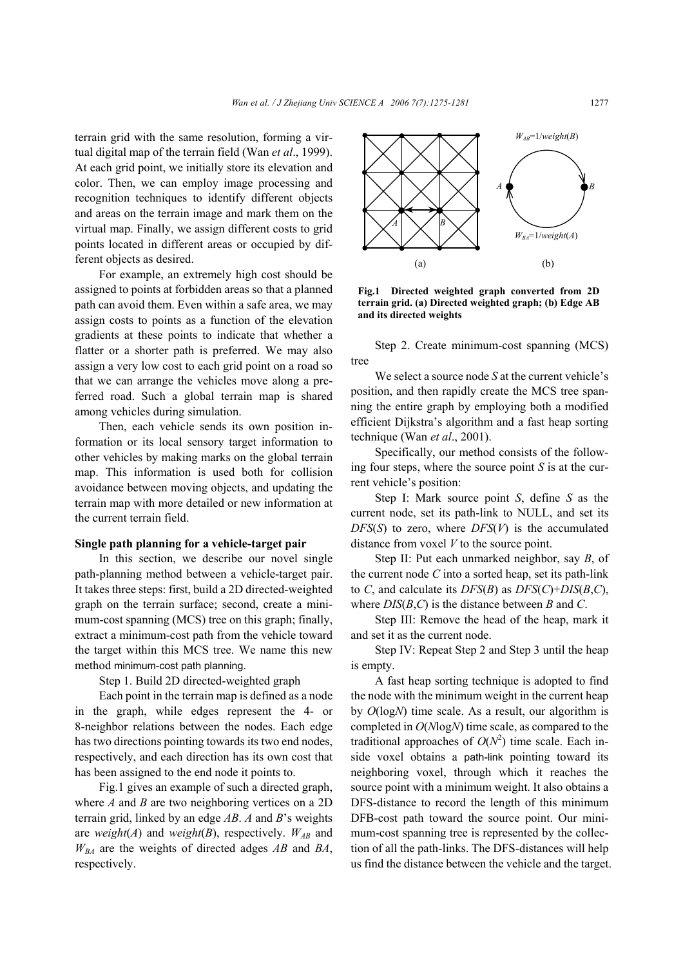terrain grid with the same resolution, forming a virtual digital map of the terrain field (Wan *et al*., 1999). At each grid point, we initially store its elevation and color. Then, we can employ image processing and recognition techniques to identify different objects and areas on the terrain image and mark them on the virtual map. Finally, we assign different costs to grid points located in different areas or occupied by different objects as desired.

For example, an extremely high cost should be assigned to points at forbidden areas so that a planned path can avoid them. Even within a safe area, we may assign costs to points as a function of the elevation gradients at these points to indicate that whether a flatter or a shorter path is preferred. We may also assign a very low cost to each grid point on a road so that we can arrange the vehicles move along a preferred road. Such a global terrain map is shared among vehicles during simulation.

Then, each vehicle sends its own position information or its local sensory target information to other vehicles by making marks on the global terrain map. This information is used both for collision avoidance between moving objects, and updating the terrain map with more detailed or new information at the current terrain field.

#### **Single path planning for a vehicle-target pair**

In this section, we describe our novel single path-planning method between a vehicle-target pair. It takes three steps: first, build a 2D directed-weighted graph on the terrain surface; second, create a minimum-cost spanning (MCS) tree on this graph; finally, extract a minimum-cost path from the vehicle toward the target within this MCS tree. We name this new method minimum-cost path planning.

Step 1. Build 2D directed-weighted graph

Each point in the terrain map is defined as a node in the graph, while edges represent the 4- or 8-neighbor relations between the nodes. Each edge has two directions pointing towards its two end nodes, respectively, and each direction has its own cost that has been assigned to the end node it points to.

Fig.1 gives an example of such a directed graph, where *A* and *B* are two neighboring vertices on a 2D terrain grid, linked by an edge *AB*. *A* and *B*'s weights are *weight*( $A$ ) and *weight*( $B$ ), respectively.  $W_{AB}$  and *WBA* are the weights of directed adges *AB* and *BA*, respectively.



**Fig.1 Directed weighted graph converted from 2D terrain grid. (a) Directed weighted graph; (b) Edge AB and its directed weights** 

Step 2. Create minimum-cost spanning (MCS) tree

We select a source node *S* at the current vehicle's position, and then rapidly create the MCS tree spanning the entire graph by employing both a modified efficient Dijkstra's algorithm and a fast heap sorting technique (Wan *et al*., 2001).

Specifically, our method consists of the following four steps, where the source point  $S$  is at the current vehicle's position:

Step I: Mark source point *S*, define *S* as the current node, set its path-link to NULL, and set its  $DFS(S)$  to zero, where  $DFS(V)$  is the accumulated distance from voxel *V* to the source point.

Step II: Put each unmarked neighbor, say *B*, of the current node *C* into a sorted heap, set its path-link to *C*, and calculate its *DFS*(*B*) as *DFS*(*C*)+*DIS*(*B*,*C*), where *DIS*(*B*,*C*) is the distance between *B* and *C*.

Step III: Remove the head of the heap, mark it and set it as the current node.

Step IV: Repeat Step 2 and Step 3 until the heap is empty.

A fast heap sorting technique is adopted to find the node with the minimum weight in the current heap by *O*(log*N*) time scale. As a result, our algorithm is completed in *O*(*N*log*N*) time scale, as compared to the traditional approaches of  $O(N^2)$  time scale. Each inside voxel obtains a path-link pointing toward its neighboring voxel, through which it reaches the source point with a minimum weight. It also obtains a DFS-distance to record the length of this minimum DFB-cost path toward the source point. Our minimum-cost spanning tree is represented by the collection of all the path-links. The DFS-distances will help us find the distance between the vehicle and the target.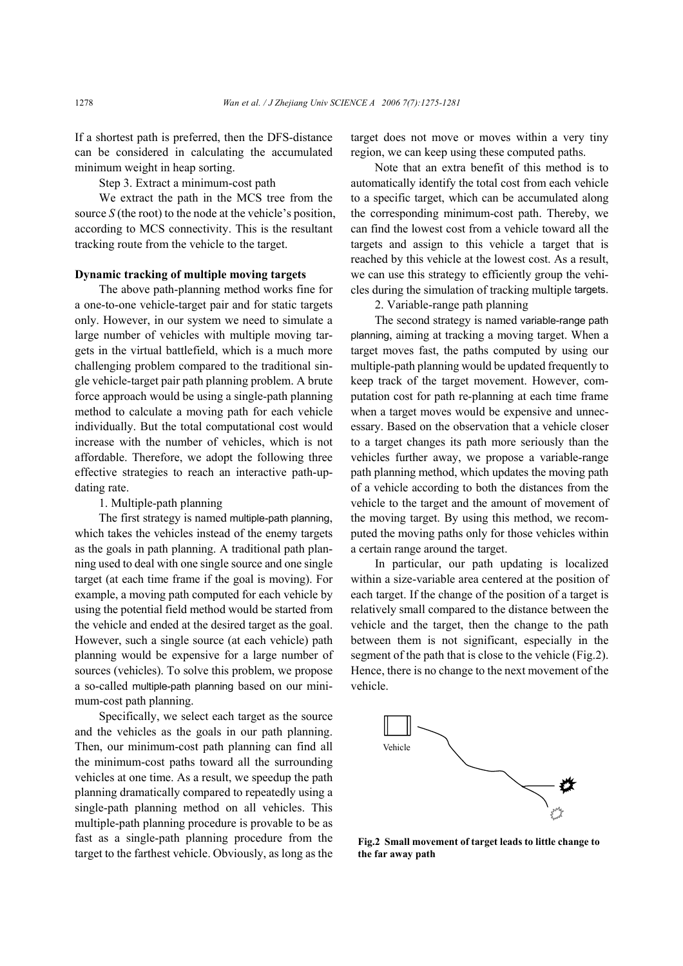If a shortest path is preferred, then the DFS-distance can be considered in calculating the accumulated minimum weight in heap sorting.

Step 3. Extract a minimum-cost path

We extract the path in the MCS tree from the source *S* (the root) to the node at the vehicle's position, according to MCS connectivity. This is the resultant tracking route from the vehicle to the target.

## **Dynamic tracking of multiple moving targets**

The above path-planning method works fine for a one-to-one vehicle-target pair and for static targets only. However, in our system we need to simulate a large number of vehicles with multiple moving targets in the virtual battlefield, which is a much more challenging problem compared to the traditional single vehicle-target pair path planning problem. A brute force approach would be using a single-path planning method to calculate a moving path for each vehicle individually. But the total computational cost would increase with the number of vehicles, which is not affordable. Therefore, we adopt the following three effective strategies to reach an interactive path-updating rate.

### 1. Multiple-path planning

The first strategy is named multiple-path planning, which takes the vehicles instead of the enemy targets as the goals in path planning. A traditional path planning used to deal with one single source and one single target (at each time frame if the goal is moving). For example, a moving path computed for each vehicle by using the potential field method would be started from the vehicle and ended at the desired target as the goal. However, such a single source (at each vehicle) path planning would be expensive for a large number of sources (vehicles). To solve this problem, we propose a so-called multiple-path planning based on our minimum-cost path planning.

Specifically, we select each target as the source and the vehicles as the goals in our path planning. Then, our minimum-cost path planning can find all the minimum-cost paths toward all the surrounding vehicles at one time. As a result, we speedup the path planning dramatically compared to repeatedly using a single-path planning method on all vehicles. This multiple-path planning procedure is provable to be as fast as a single-path planning procedure from the target to the farthest vehicle. Obviously, as long as the target does not move or moves within a very tiny region, we can keep using these computed paths.

Note that an extra benefit of this method is to automatically identify the total cost from each vehicle to a specific target, which can be accumulated along the corresponding minimum-cost path. Thereby, we can find the lowest cost from a vehicle toward all the targets and assign to this vehicle a target that is reached by this vehicle at the lowest cost. As a result, we can use this strategy to efficiently group the vehicles during the simulation of tracking multiple targets.

2. Variable-range path planning

The second strategy is named variable-range path planning, aiming at tracking a moving target. When a target moves fast, the paths computed by using our multiple-path planning would be updated frequently to keep track of the target movement. However, computation cost for path re-planning at each time frame when a target moves would be expensive and unnecessary. Based on the observation that a vehicle closer to a target changes its path more seriously than the vehicles further away, we propose a variable-range path planning method, which updates the moving path of a vehicle according to both the distances from the vehicle to the target and the amount of movement of the moving target. By using this method, we recomputed the moving paths only for those vehicles within a certain range around the target.

In particular, our path updating is localized within a size-variable area centered at the position of each target. If the change of the position of a target is relatively small compared to the distance between the vehicle and the target, then the change to the path between them is not significant, especially in the segment of the path that is close to the vehicle (Fig.2). Hence, there is no change to the next movement of the vehicle.



**Fig.2 Small movement of target leads to little change to the far away path**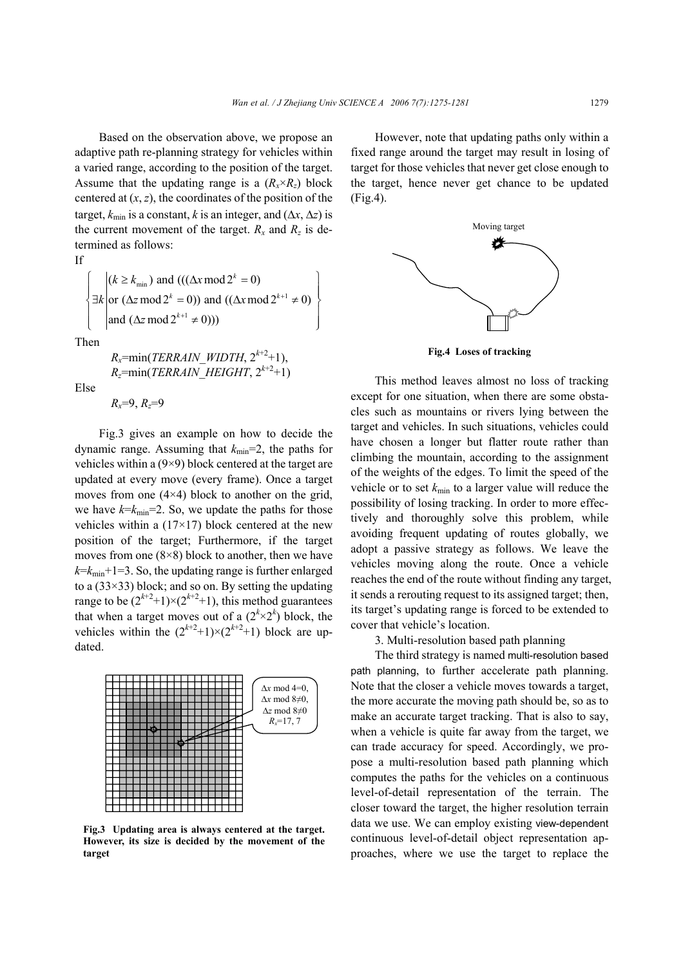Based on the observation above, we propose an adaptive path re-planning strategy for vehicles within a varied range, according to the position of the target. Assume that the updating range is a  $(R_r \times R_z)$  block centered at (*x*, *z*), the coordinates of the position of the target,  $k_{\text{min}}$  is a constant, k is an integer, and ( $\Delta x$ ,  $\Delta z$ ) is the current movement of the target.  $R_x$  and  $R_z$  is determined as follows:

If

$$
\left\{\exists k \begin{pmatrix} (k \geq k_{\min}) \text{ and } (((\Delta x \mod 2^{k} = 0) \\ \text{or } (\Delta z \mod 2^{k} = 0)) \text{ and } ((\Delta x \mod 2^{k+1} \neq 0) \\ \text{and } (\Delta z \mod 2^{k+1} \neq 0))) \end{pmatrix}\right\}
$$

Then

$$
R_x = \min(TERRAIN \_WIDTH, 2^{k+2}+1),
$$
  

$$
R_z = \min(TERRAIN \_HEIGHT, 2^{k+2}+1)
$$

Else

*Rx*=9, *Rz*=9

Fig.3 gives an example on how to decide the dynamic range. Assuming that  $k_{\text{min}}=2$ , the paths for vehicles within a  $(9\times9)$  block centered at the target are updated at every move (every frame). Once a target moves from one  $(4\times4)$  block to another on the grid, we have  $k=k_{\text{min}}=2$ . So, we update the paths for those vehicles within a  $(17\times17)$  block centered at the new position of the target; Furthermore, if the target moves from one  $(8\times8)$  block to another, then we have  $k=k_{min}+1=3$ . So, the updating range is further enlarged to a (33×33) block; and so on. By setting the updating range to be  $(2^{k+2}+1)\times (2^{k+2}+1)$ , this method guarantees that when a target moves out of a  $(2<sup>k</sup>×2<sup>k</sup>)$  block, the vehicles within the  $(2^{k+2}+1)\times(2^{k+2}+1)$  block are updated.



**Fig.3 Updating area is always centered at the target. However, its size is decided by the movement of the target** 

However, note that updating paths only within a fixed range around the target may result in losing of target for those vehicles that never get close enough to the target, hence never get chance to be updated (Fig.4).



**Fig.4 Loses of tracking** 

This method leaves almost no loss of tracking except for one situation, when there are some obstacles such as mountains or rivers lying between the target and vehicles. In such situations, vehicles could have chosen a longer but flatter route rather than climbing the mountain, according to the assignment of the weights of the edges. To limit the speed of the vehicle or to set *k*min to a larger value will reduce the possibility of losing tracking. In order to more effectively and thoroughly solve this problem, while avoiding frequent updating of routes globally, we adopt a passive strategy as follows. We leave the vehicles moving along the route. Once a vehicle reaches the end of the route without finding any target, it sends a rerouting request to its assigned target; then, its target's updating range is forced to be extended to cover that vehicle's location.

3. Multi-resolution based path planning

The third strategy is named multi-resolution based path planning, to further accelerate path planning. Note that the closer a vehicle moves towards a target, the more accurate the moving path should be, so as to make an accurate target tracking. That is also to say, when a vehicle is quite far away from the target, we can trade accuracy for speed. Accordingly, we propose a multi-resolution based path planning which computes the paths for the vehicles on a continuous level-of-detail representation of the terrain. The closer toward the target, the higher resolution terrain data we use. We can employ existing view-dependent continuous level-of-detail object representation approaches, where we use the target to replace the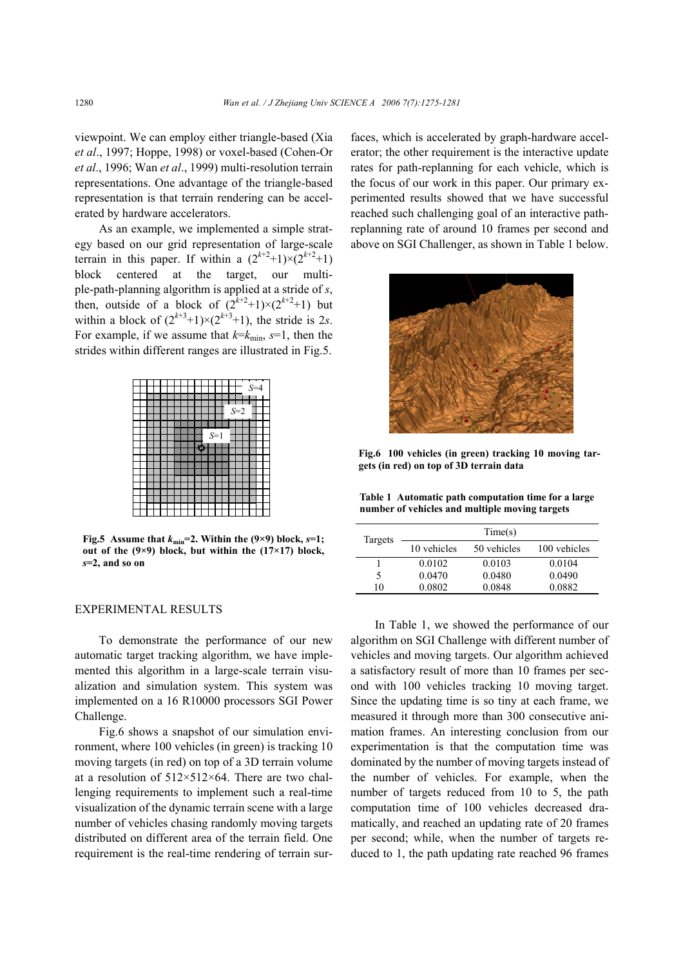viewpoint. We can employ either triangle-based (Xia *et al*., 1997; Hoppe, 1998) or voxel-based (Cohen-Or *et al*., 1996; Wan *et al*., 1999) multi-resolution terrain representations. One advantage of the triangle-based representation is that terrain rendering can be accelerated by hardware accelerators.

As an example, we implemented a simple strategy based on our grid representation of large-scale terrain in this paper. If within a  $(2^{k+2}+1)\times(2^{k+2}+1)$ block centered at the target, our multiple-path-planning algorithm is applied at a stride of *s*, then, outside of a block of  $(2^{k+2}+1)\times (2^{k+2}+1)$  but within a block of  $(2^{k+3}+1)\times (2^{k+3}+1)$ , the stride is 2*s*. For example, if we assume that  $k=k_{\text{min}}$ ,  $s=1$ , then the strides within different ranges are illustrated in Fig.5.



**Fig.5** Assume that  $k_{\text{min}}=2$ . Within the (9×9) block,  $s=1$ ; **out of the (9×9) block, but within the (17×17) block,** *s***=2, and so on** 

# EXPERIMENTAL RESULTS

To demonstrate the performance of our new automatic target tracking algorithm, we have implemented this algorithm in a large-scale terrain visualization and simulation system. This system was implemented on a 16 R10000 processors SGI Power Challenge.

Fig.6 shows a snapshot of our simulation environment, where 100 vehicles (in green) is tracking 10 moving targets (in red) on top of a 3D terrain volume at a resolution of 512×512×64. There are two challenging requirements to implement such a real-time visualization of the dynamic terrain scene with a large number of vehicles chasing randomly moving targets distributed on different area of the terrain field. One requirement is the real-time rendering of terrain surfaces, which is accelerated by graph-hardware accelerator; the other requirement is the interactive update rates for path-replanning for each vehicle, which is the focus of our work in this paper. Our primary experimented results showed that we have successful reached such challenging goal of an interactive pathreplanning rate of around 10 frames per second and above on SGI Challenger, as shown in Table 1 below.



**Fig.6 100 vehicles (in green) tracking 10 moving targets (in red) on top of 3D terrain data** 

**Table 1 Automatic path computation time for a large number of vehicles and multiple moving targets** 

| Targets |             | Time(s)     |              |
|---------|-------------|-------------|--------------|
|         | 10 vehicles | 50 vehicles | 100 vehicles |
|         | 0.0102      | 0.0103      | 0.0104       |
| 5       | 0.0470      | 0.0480      | 0.0490       |
| 10      | 0.0802      | 0.0848      | 0.0882       |

In Table 1, we showed the performance of our algorithm on SGI Challenge with different number of vehicles and moving targets. Our algorithm achieved a satisfactory result of more than 10 frames per second with 100 vehicles tracking 10 moving target. Since the updating time is so tiny at each frame, we measured it through more than 300 consecutive animation frames. An interesting conclusion from our experimentation is that the computation time was dominated by the number of moving targets instead of the number of vehicles. For example, when the number of targets reduced from 10 to 5, the path computation time of 100 vehicles decreased dramatically, and reached an updating rate of 20 frames per second; while, when the number of targets reduced to 1, the path updating rate reached 96 frames